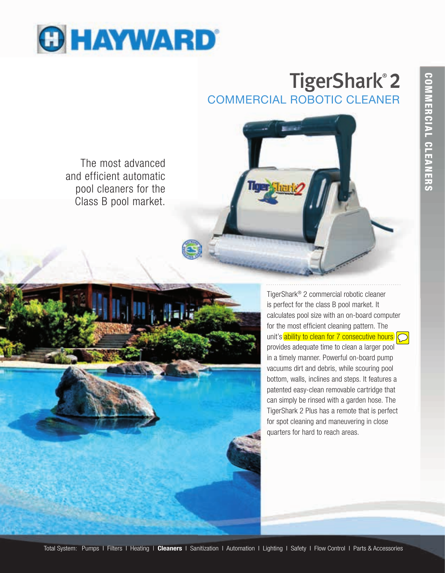

# COMMERCIAL ROBOTIC CLEANER TigerShark® 2

The most advanced and efficient automatic pool cleaners for the Class B pool market.





TigerShark® 2 commercial robotic cleaner is perfect for the class B pool market. It calculates pool size with an on-board computer for the most efficient cleaning pattern. The unit's ability to clean for 7 consecutive hours provides adequate time to clean a larger pool in a timely manner. Powerful on-board pump vacuums dirt and debris, while scouring pool bottom, walls, inclines and steps. It features a patented easy-clean removable cartridge that can simply be rinsed with a garden hose. The TigerShark 2 Plus has a remote that is perfect for spot cleaning and maneuvering in close quarters for hard to reach areas.